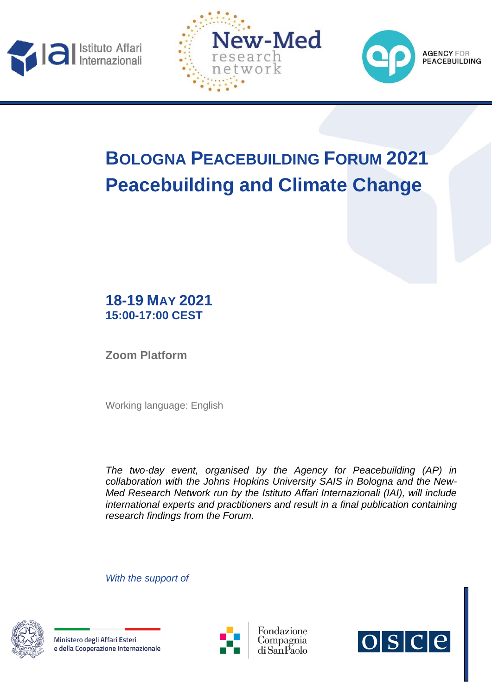





# **BOLOGNA PEACEBUILDING FORUM 2021 Peacebuilding and Climate Change**

# **18-19 MAY 2021 15:00-17:00 CEST**

**Zoom Platform**

Working language: English

*The two-day event, organised by the Agency for Peacebuilding (AP) in collaboration with the Johns Hopkins University SAIS in Bologna and the New-Med Research Network run by the Istituto Affari Internazionali (IAI), will include international experts and practitioners and result in a final publication containing research findings from the Forum.*

*With the support of* 



Ministero degli Affari Esteri e della Cooperazione Internazionale





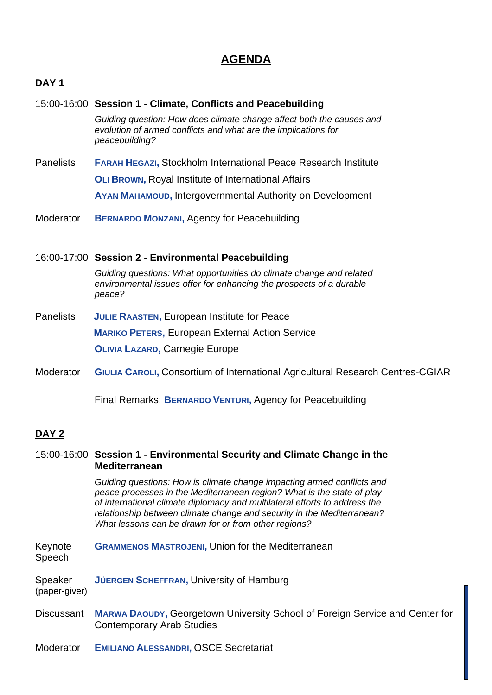## **AGENDA**

### **DAY 1**

# 15:00-16:00 **Session 1 - Climate, Conflicts and Peacebuilding** *Guiding question: How does climate change affect both the causes and evolution of armed conflicts and what are the implications for peacebuilding?* Panelists **FARAH HEGAZI,** Stockholm International Peace Research Institute **OLI BROWN,** Royal Institute of International Affairs **AYAN MAHAMOUD,** Intergovernmental Authority on Development Moderator **BERNARDO MONZANI,** Agency for Peacebuilding 16:00-17:00 **Session 2 - Environmental Peacebuilding** *Guiding questions: What opportunities do climate change and related environmental issues offer for enhancing the prospects of a durable peace?* Panelists **JULIE RAASTEN,** European Institute for Peace

**MARIKO PETERS,** European External Action Service

**OLIVIA LAZARD,** Carnegie Europe

Moderator **GIULIA CAROLI,** Consortium of International Agricultural Research Centres-CGIAR

Final Remarks: **BERNARDO VENTURI,** Agency for Peacebuilding

### **DAY 2**

### 15:00-16:00 **Session 1 - Environmental Security and Climate Change in the Mediterranean**

*Guiding questions: How is climate change impacting armed conflicts and peace processes in the Mediterranean region? What is the state of play of international climate diplomacy and multilateral efforts to address the relationship between climate change and security in the Mediterranean? What lessons can be drawn for or from other regions?*

- Keynote **GRAMMENOS MASTROJENI,** Union for the Mediterranean Speech
- Speaker **JÜERGEN SCHEFFRAN,** University of Hamburg (paper-giver)
- Discussant **MARWA DAOUDY,** Georgetown University School of Foreign Service and Center for Contemporary Arab Studies
- Moderator **EMILIANO ALESSANDRI,** OSCE Secretariat